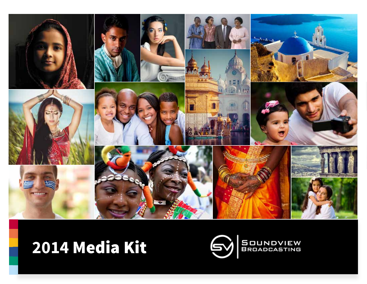

# Media Kit

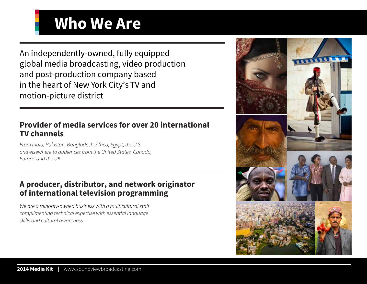## **Who We Are**

An independently-owned, fully equipped global media broadcasting, video production and post-production company based in the heart of New York City's TV and motion-picture district

## **Provider of media services for over 20 international TV channels**

*From India, Pakistan, Bangladesh, Africa, Egypt, the U.S. and elsewhere to audiences from the United States, Canada, Europe and the UK*

## **A producer, distributor, and network originator of international television programming**

We are a minority-owned business with a multicultural staff *complimenting technical expertise with essential language skills and cultural awareness*

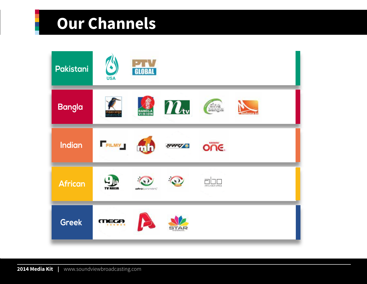## **Our Channels**

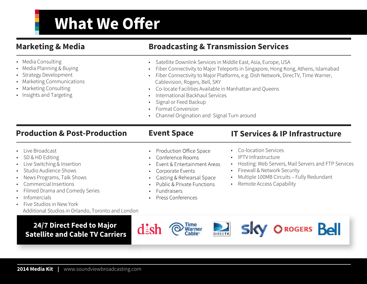## **What We Offer**

### **Marketing & Media**

- Media Consulting
- Media Planning & Buying
- Strategy Development
- Marketing Communications
- Marketing Consulting
- Insights and Targeting

### **Broadcasting & Transmission Services**

- Satellite Downlink Services in Middle East, Asia, Europe, USA
- Fiber Connectivity to Major Teleports in Singapore, Hong Kong, Athens, Islamabad
- Fiber Connectivity to Major Platforms, e.g. Dish Network, DirecTV, Time Warner, Cablevision, Rogers, Bell, SKY
- Co-locate Facilities Available in Manhattan and Queens
- International Backhaul Services
- Signal or Feed Backup
- Format Conversion
- Channel Origination and Signal Turn around

## **Production & Post-Production**

### **Event Space**

### **IT Services & IP Infrastructure**

- Live Broadcast
- SD & HD Editing
- Live Switching & Insertion
- Studio Audience Shows
- News Programs, Talk Shows
- Commercial Insertions
- Filmed Drama and Comedy Series
- Infomercials
- Five Studios in New York Additional Studios in Orlando, Toronto and London

## **24/7 Direct Feed to Major Satellite and Cable TV Carriers**

- Production Office Space
- Conference Rooms
- Event & Entertainment Areas
- Corporate Events
- Casting & Rehearsal Space
- Public & Private Functions
- **Fundraisers**

dish

Press Conferences

- Co-location Services
- IPTV Infrastructure
- Hosting: Web Servers, Mail Servers and FTP Services
- Firewall & Network Security
- Multiple 100MB Circuits Fully Redundant
- Remote Access Capability



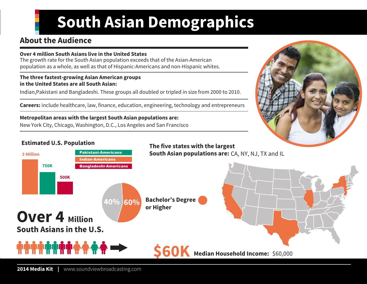# **South Asian Demographics**

## **About the Audience**

#### **Over 4 million South Asians live in the United States**

The growth rate for the South Asian population exceeds that of the Asian-American population as a whole, as well as that of Hispanic-Americans and non-Hispanic whites.

#### **The three fastest-growing Asian American groups in the United States are all South Asian:**

Indian,Pakistani and Bangladeshi. These groups all doubled or tripled in size from 2000 to 2010.

**Careers:** include healthcare, law, finance, education, engineering, technology and entrepreneurs

**Metropolitan areas with the largest South Asian populations are:**  New York City, Chicago, Washington, D.C., Los Angeles and San Francisco



#### **Estimated U.S. Population The five states with the largest** Pakistani-Americans  **South Asian populations are:** CA, NY, NJ, TX and IL **3 Million** Indian-Americans **750K** Bangladeshi-Americans **500K Bachelor's Degree 40% 60% or Higher Over 4 Million South Asians in the U.S.hành nhâ S60K** Median Household Income: \$60,000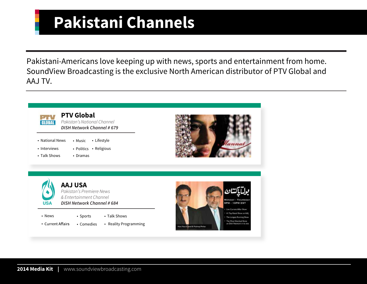## **Pakistani Channels**

Pakistani-Americans love keeping up with news, sports and entertainment from home. SoundView Broadcasting is the exclusive North American distributor of PTV Global and AAJ TV.

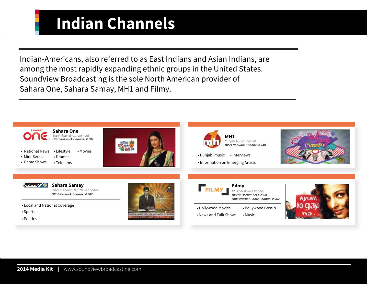## **Indian Channels**

Indian-Americans, also referred to as East Indians and Asian Indians, are among the most rapidly expanding ethnic groups in the United States. SoundView Broadcasting is the sole North American provider of Sahara One, Sahara Samay, MH1 and Filmy.

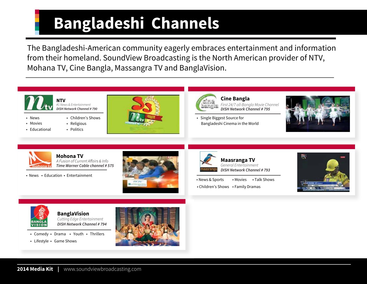# **Bangladeshi Channels**

The Bangladeshi-American community eagerly embraces entertainment and information from their homeland. SoundView Broadcasting is the North American provider of NTV, Mohana TV, Cine Bangla, Massangra TV and BanglaVision.

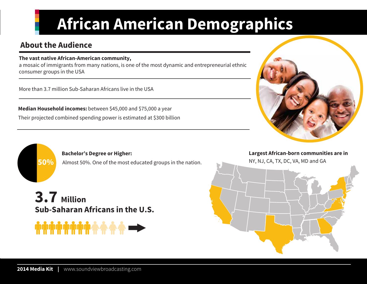# **African American Demographics**

## **About the Audience**

#### **The vast native African-American community,**

a mosaic of immigrants from many nations, is one of the most dynamic and entrepreneurial ethnic consumer groups in the USA

More than 3.7 million Sub-Saharan Africans live in the USA

**Median Household incomes:** between \$45,000 and \$75,000 a year Their projected combined spending power is estimated at \$300 billion





#### **Bachelor's Degree or Higher:**

**3.7 Million Sub-Saharan Africans in the U.S.**



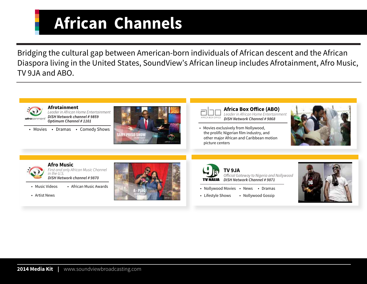# **African Channels**

Bridging the cultural gap between American-born individuals of African descent and the African Diaspora living in the United States, SoundView's African lineup includes Afrotainment, Afro Music, TV 9JA and ABO.

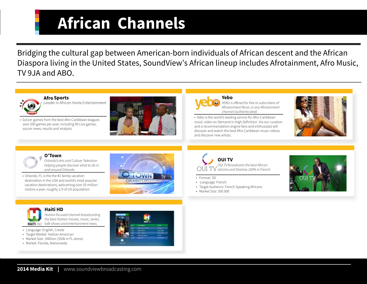## **African Channels**

Bridging the cultural gap between American-born individuals of African descent and the African Diaspora living in the United States, SoundView's African lineup includes Afrotainment, Afro Music, TV 9JA and ABO.

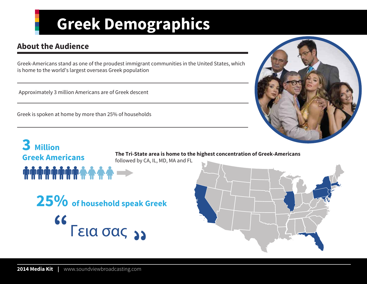# **Greek Demographics**

## **About the Audience**

Greek-Americans stand as one of the proudest immigrant communities in the United States, which is home to the world's largest overseas Greek population

Approximately 3 million Americans are of Greek descent

Greek is spoken at home by more than 25% of households